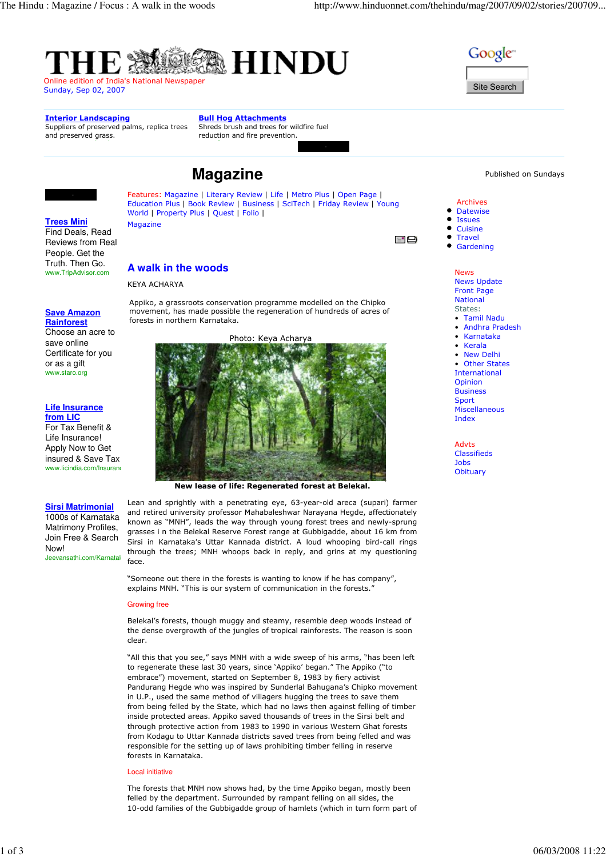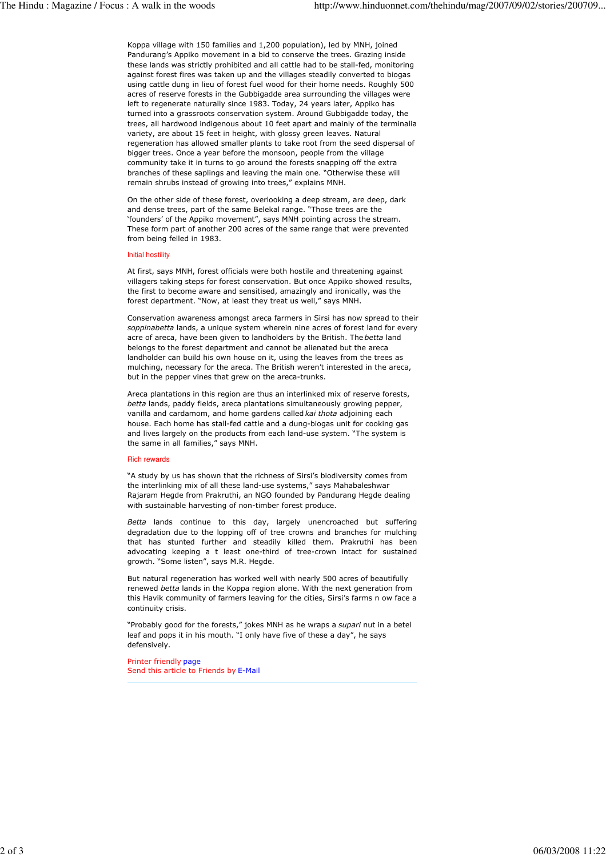Koppa village with 150 families and 1,200 population), led by MNH, joined Pandurang's Appiko movement in a bid to conserve the trees. Grazing inside these lands was strictly prohibited and all cattle had to be stall-fed, monitoring against forest fires was taken up and the villages steadily converted to biogas using cattle dung in lieu of forest fuel wood for their home needs. Roughly 500 acres of reserve forests in the Gubbigadde area surrounding the villages were left to regenerate naturally since 1983. Today, 24 years later, Appiko has turned into a grassroots conservation system. Around Gubbigadde today, the trees, all hardwood indigenous about 10 feet apart and mainly of the terminalia variety, are about 15 feet in height, with glossy green leaves. Natural regeneration has allowed smaller plants to take root from the seed dispersal of bigger trees. Once a year before the monsoon, people from the village community take it in turns to go around the forests snapping off the extra branches of these saplings and leaving the main one. "Otherwise these will remain shrubs instead of growing into trees," explains MNH.

On the other side of these forest, overlooking a deep stream, are deep, dark and dense trees, part of the same Belekal range. "Those trees are the 'founders' of the Appiko movement", says MNH pointing across the stream. These form part of another 200 acres of the same range that were prevented from being felled in 1983.

## Initial hostility

At first, says MNH, forest officials were both hostile and threatening against villagers taking steps for forest conservation. But once Appiko showed results, the first to become aware and sensitised, amazingly and ironically, was the forest department. "Now, at least they treat us well," says MNH.

Conservation awareness amongst areca farmers in Sirsi has now spread to their soppinabetta lands, a unique system wherein nine acres of forest land for every acre of areca, have been given to landholders by the British. The betta land belongs to the forest department and cannot be alienated but the areca landholder can build his own house on it, using the leaves from the trees as mulching, necessary for the areca. The British weren't interested in the areca, but in the pepper vines that grew on the areca-trunks.

Areca plantations in this region are thus an interlinked mix of reserve forests, betta lands, paddy fields, areca plantations simultaneously growing pepper, vanilla and cardamom, and home gardens called kai thota adjoining each house. Each home has stall-fed cattle and a dung-biogas unit for cooking gas and lives largely on the products from each land-use system. "The system is the same in all families," says MNH.

## Rich rewards

"A study by us has shown that the richness of Sirsi's biodiversity comes from the interlinking mix of all these land-use systems," says Mahabaleshwar Rajaram Hegde from Prakruthi, an NGO founded by Pandurang Hegde dealing with sustainable harvesting of non-timber forest produce.

Betta lands continue to this day, largely unencroached but suffering degradation due to the lopping off of tree crowns and branches for mulching that has stunted further and steadily killed them. Prakruthi has been advocating keeping a t least one-third of tree-crown intact for sustained growth. "Some listen", says M.R. Hegde.

But natural regeneration has worked well with nearly 500 acres of beautifully renewed betta lands in the Koppa region alone. With the next generation from this Havik community of farmers leaving for the cities, Sirsi's farms n ow face a continuity crisis.

"Probably good for the forests," jokes MNH as he wraps a supari nut in a betel leaf and pops it in his mouth. "I only have five of these a day", he says defensively.

Printer friendly page Send this article to Friends by E-Mail